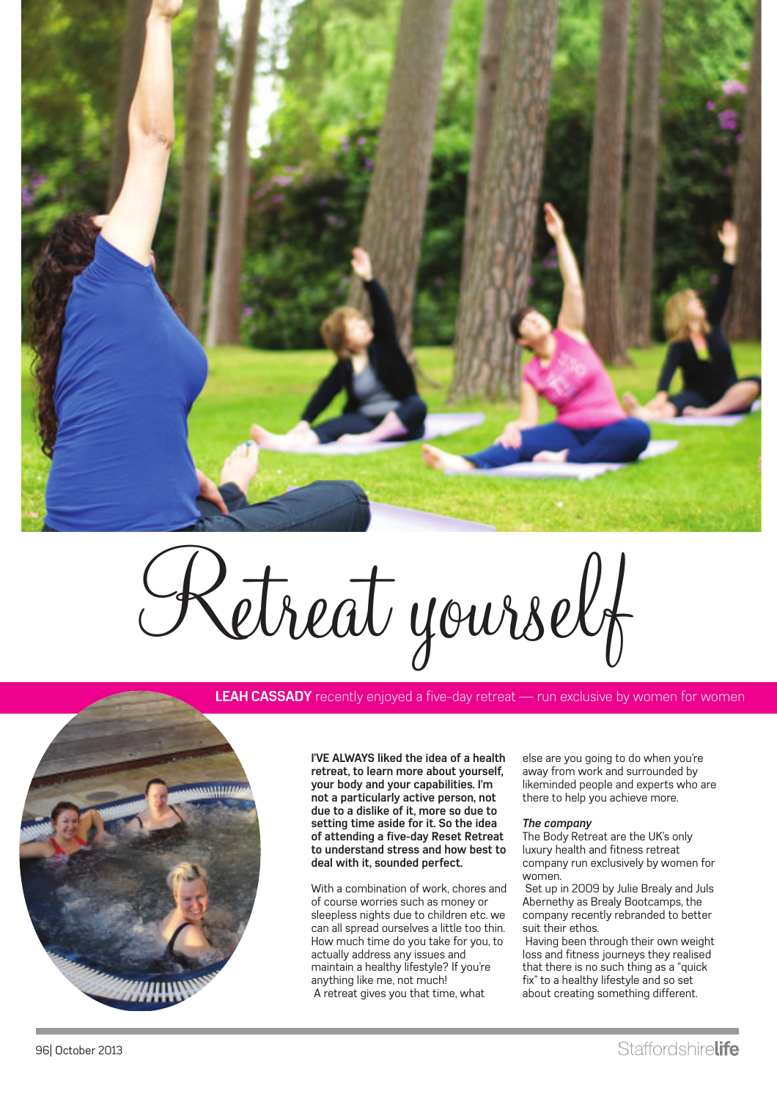

Retreat yourself

**LEAH CASSADY** recently enjoyed a five-day retreat — run exclusive by women for women



**I'VE ALWAYS liked the idea of a health retreat, to learn more about yourself, your body and your capabilities. I'm not a particularly active person, not due to a dislike of it, more so due to setting time aside for it. So the idea of attending a five-day Reset Retreat to understand stress and how best to deal with it, sounded perfect.**

With a combination of work, chores and of course worries such as money or sleepless nights due to children etc. we can all spread ourselves a little too thin. How much time do you take for you, to actually address any issues and maintain a healthy lifestyle? If you're anything like me, not much! A retreat gives you that time, what

else are you going to do when you're away from work and surrounded by likeminded people and experts who are there to help you achieve more.

#### *The company*

The Body Retreat are the UK's only luxury health and fitness retreat company run exclusively by women for women.

Set up in 2009 by Julie Brealy and Juls Abernethy as Brealy Bootcamps, the company recently rebranded to better suit their ethos.

Having been through their own weight loss and fitness journeys they realised that there is no such thing as a "quick fix" to a healthy lifestyle and so set about creating something different.